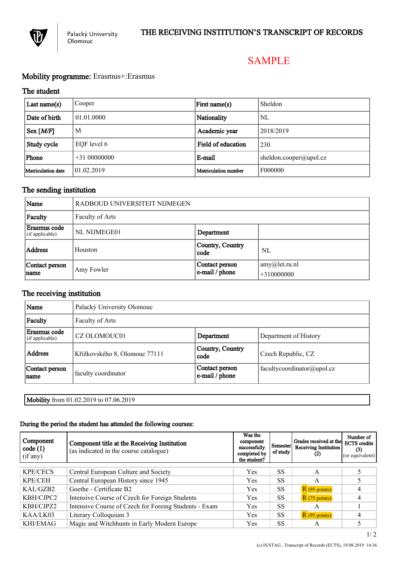

# SAMPLE

# Mobility programme: Erasmus+:Erasmus

## The student

| Last name $(s)$      | Cooper        | First name(s)               | Sheldon                        |  |
|----------------------|---------------|-----------------------------|--------------------------------|--|
| Date of birth        | 01.01.0000    | Nationality                 | NL                             |  |
| $Sex$ [ <i>M/F</i> ] | M             | Academic year               | 2018/2019                      |  |
| Study cycle          | EQF level 6   | Field of education          | 230                            |  |
| Phone                | $+3100000000$ | E-mail                      | $\vert$ sheldon.cooper@upol.cz |  |
| Matriculation date   | 01.02.2019    | <b>Matriculation</b> number | F000000                        |  |

# The sending institution

| Name                            | RADBOUD UNIVERSITEIT NIJMEGEN |                                  |                                       |
|---------------------------------|-------------------------------|----------------------------------|---------------------------------------|
| Faculty                         | Faculty of Arts               |                                  |                                       |
| Erasmus code<br>(if applicable) | NL NIJMEGE01                  | Department                       |                                       |
| Address                         | Houston                       | Country, Country<br>code         | NL                                    |
| Contact person<br>name          | Amy Fowler                    | Contact person<br>e-mail / phone | $\vert$ amy@let.ru.nl<br>$+310000000$ |

# The receiving institution

| Name                            | Palacký University Olomouc    |                                  |                            |  |
|---------------------------------|-------------------------------|----------------------------------|----------------------------|--|
| Faculty                         | Faculty of Arts               |                                  |                            |  |
| Erasmus code<br>(if applicable) | CZ OLOMOUC01                  | Department                       | Department of History      |  |
| <b>Address</b>                  | Křížkovského 8, Olomouc 77111 | Country, Country<br>code         | Czech Republic, CZ         |  |
| Contact person<br>name          | faculty coordinator           | Contact person<br>e-mail / phone | facultycoordinator@upol.cz |  |

Mobility from 01.02.2019 to 07.06.2019

### During the period the student has attended the following courses:

| Component<br>code(1)<br>(if any) | Component title at the Receiving Institution<br>(as indicated in the course catalogue) | Was the<br>component<br>successfully<br>completed by<br>the student? | Semester<br>of study | Grades received at the<br><b>Receiving Institution</b><br>$(2)$ | Number of<br><b>ECTS</b> credits<br>(3)<br>(or equivalent) |
|----------------------------------|----------------------------------------------------------------------------------------|----------------------------------------------------------------------|----------------------|-----------------------------------------------------------------|------------------------------------------------------------|
| <b>KPE/CECS</b>                  | Central European Culture and Society                                                   | Yes                                                                  | SS                   | A                                                               |                                                            |
| KPE/CEH                          | Central European History since 1945                                                    | Yes                                                                  | SS                   | A                                                               |                                                            |
| KAI/GZB2                         | Goethe - Certificate B2                                                                | Yes                                                                  | SS                   | $R(95 \text{ points})$                                          |                                                            |
| KBH/CJPC2                        | Intensive Course of Czech for Foreign Students                                         | Yes                                                                  | <b>SS</b>            | $R(75 \text{ points})$                                          |                                                            |
| KBH/CJPZ2                        | Intensive Course of Czech for Foreing Students - Exam                                  | Yes                                                                  | SS                   | A                                                               |                                                            |
| KAA/LK03                         | Literary Colloquium 3                                                                  | <b>Yes</b>                                                           | <b>SS</b>            | $R(95 \text{ points})$                                          |                                                            |
| KHI/EMAG                         | Magic and Witchhunts in Early Modern Europe                                            | Yes                                                                  | SS                   | A                                                               |                                                            |

1/ 2